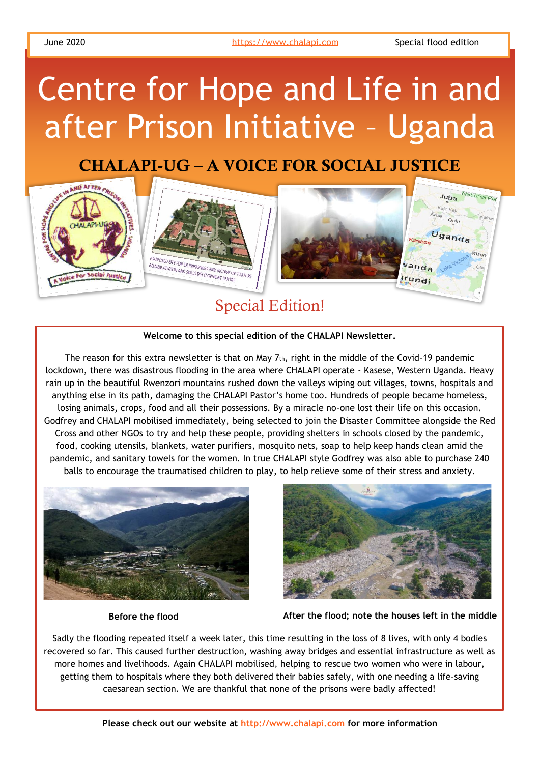## Centre for Hope and Life in and after Prison Initiative – Uganda

## CHALAPI-UG – A VOICE FOR SOCIAL JUSTICE



Special Edition!

## **Welcome to this special edition of the CHALAPI Newsletter.**

The reason for this extra newsletter is that on May 7th, right in the middle of the Covid-19 pandemic lockdown, there was disastrous flooding in the area where CHALAPI operate - Kasese, Western Uganda. Heavy rain up in the beautiful Rwenzori mountains rushed down the valleys wiping out villages, towns, hospitals and anything else in its path, damaging the CHALAPI Pastor's home too. Hundreds of people became homeless, losing animals, crops, food and all their possessions. By a miracle no-one lost their life on this occasion. Godfrey and CHALAPI mobilised immediately, being selected to join the Disaster Committee alongside the Red Cross and other NGOs to try and help these people, providing shelters in schools closed by the pandemic, food, cooking utensils, blankets, water purifiers, mosquito nets, soap to help keep hands clean amid the pandemic, and sanitary towels for the women. In true CHALAPI style Godfrey was also able to purchase 240 balls to encourage the traumatised children to play, to help relieve some of their stress and anxiety.





**Before the flood**

**After the flood; note the houses left in the middle**

Sadly the flooding repeated itself a week later, this time resulting in the loss of 8 lives, with only 4 bodies recovered so far. This caused further destruction, washing away bridges and essential infrastructure as well as more homes and livelihoods. Again CHALAPI mobilised, helping to rescue two women who were in labour, getting them to hospitals where they both delivered their babies safely, with one needing a life-saving caesarean section. We are thankful that none of the prisons were badly affected!